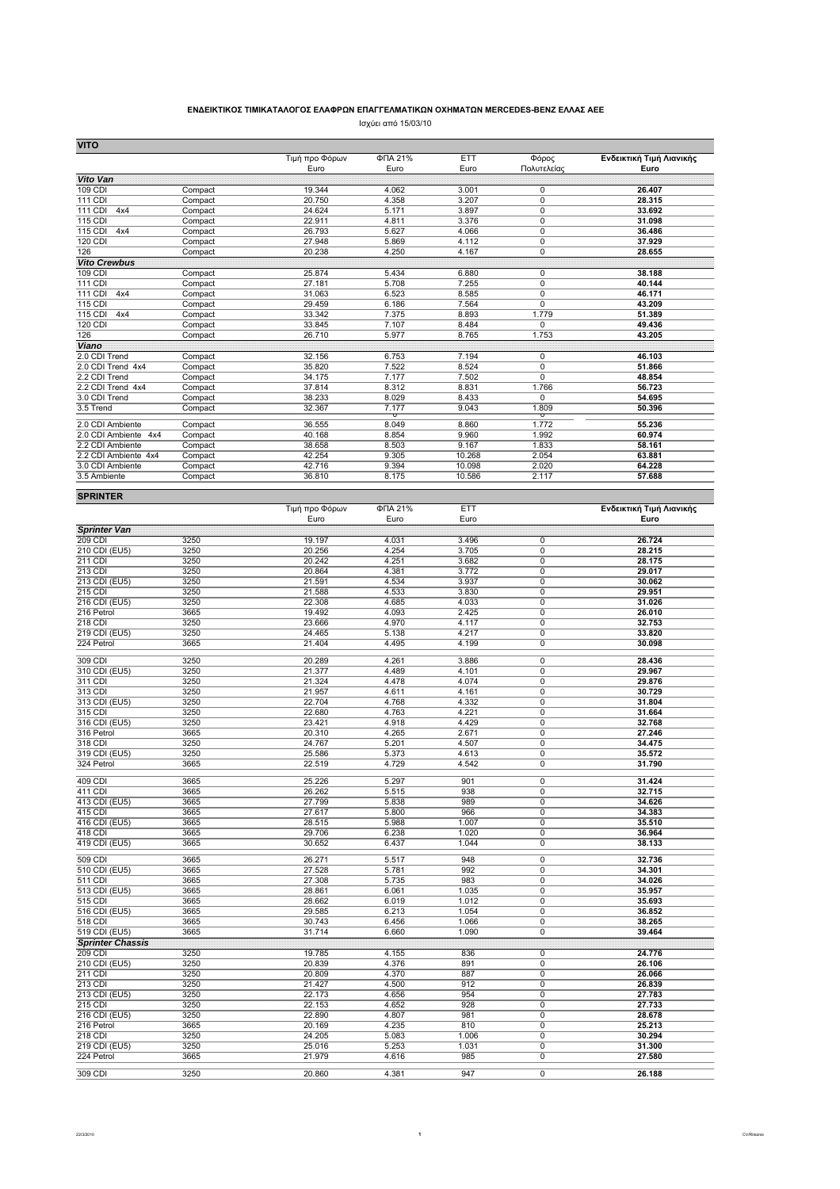## **ΕΝ∆ΕΙΚΤΙΚΟΣ ΤΙΜΙΚΑΤΑΛΟΓΟΣ ΕΛΑΦΡΩΝ ΕΠΑΓΓΕΛΜΑΤΙΚΩΝ ΟΧΗΜΑΤΩΝ MERCEDES-BENZ ΕΛΛΑΣ ΑΕΕ**

Ισχύει από 15/03/10

| <b>VITO</b>                |                    |                  |                |                |                           |                          |
|----------------------------|--------------------|------------------|----------------|----------------|---------------------------|--------------------------|
|                            |                    | Τιμή προ Φόρων   | ФПА 21%        | ETT            | Φόρος                     | Ενδεικτική Τιμή Λιανικής |
|                            |                    | Euro             | Euro           | Euro           | Πολυτελείας               | Euro                     |
| Vito Van<br>109 CDI        | Compact            | 19.344           | 4.062          | 3.001          | 0                         | 26.407                   |
| 111 CDI                    | Compact            | 20.750           | 4.358          | 3.207          | $\overline{0}$            | 28.315                   |
| 111 CDI<br>4x4             | Compact            | 24.624           | 5.171          | 3.897          | $\pmb{0}$                 | 33.692                   |
| 115 CDI                    | Compact            | 22.911           | 4.811          | 3.376          | $\pmb{0}$                 | 31.098                   |
| 115 CDI<br>4x4             | Compact            | 26.793           | 5.627          | 4.066          | 0                         | 36.486                   |
| 120 CDI                    | Compact            | 27.948           | 5.869          | 4.112          | $\mathbf 0$               | 37.929                   |
| 126<br><b>Vito Crewbus</b> | Compact            | 20.238           | 4.250          | 4.167          | $\pmb{0}$                 | 28.655                   |
| 109 CDI                    | Compact            | 25.874           | 5.434          | 6.880          | $\mathbf 0$               | 38.188                   |
| 111 CDI                    | Compact            | 27.181           | 5.708          | 7.255          | $\mathbf 0$               | 40.144                   |
| 111 CDI<br>4x4             | Compact            | 31.063           | 6.523          | 8.585          | $\overline{0}$            | 46.171                   |
| 115 CDI                    | Compact            | 29.459           | 6.186          | 7.564          | 0                         | 43.209                   |
| 115 CDI<br>4x4             | Compact            | 33.342           | 7.375          | 8.893          | 1.779                     | 51.389                   |
| 120 CDI                    | Compact            | 33.845           | 7.107          | 8.484          | 0                         | 49.436                   |
| 126                        | Compact            | 26.710           | 5.977          | 8.765          | 1.753                     | 43.205                   |
| Viano<br>2.0 CDI Trend     |                    | 32.156           | 6.753          | 7.194          | $\pmb{0}$                 | 46.103                   |
| 2.0 CDI Trend 4x4          | Compact<br>Compact | 35.820           | 7.522          | 8.524          | $\overline{0}$            | 51.866                   |
| 2.2 CDI Trend              | Compact            | 34.175           | 7.177          | 7.502          | $\mathbf 0$               | 48.854                   |
| 2.2 CDI Trend 4x4          | Compact            | 37.814           | 8.312          | 8.831          | 1.766                     | 56.723                   |
| 3.0 CDI Trend              | Compact            | 38.233           | 8.029          | 8.433          | $\pmb{0}$                 | 54.695                   |
| 3.5 Trend                  | Compact            | 32.367           | 7.177          | 9.043          | 1.809                     | 50.396                   |
| 2.0 CDI Ambiente           | Compact            | 36.555           | 8.049          | 8.860          | Ū<br>1.772                | 55.236                   |
| 2.0 CDI Ambiente 4x4       | Compact            | 40.168           | 8.854          | 9.960          | 1.992                     | 60.974                   |
| 2.2 CDI Ambiente           | Compact            | 38.658           | 8.503          | 9.167          | 1.833                     | 58.161                   |
| 2.2 CDI Ambiente 4x4       | Compact            | 42.254           | 9.305          | 10.268         | 2.054                     | 63.881                   |
| 3.0 CDI Ambiente           | Compact            | 42.716           | 9.394          | 10.098         | 2.020                     | 64.228                   |
| 3.5 Ambiente               | Compact            | 36.810           | 8.175          | 10.586         | 2.117                     | 57.688                   |
| <b>SPRINTER</b>            |                    |                  |                |                |                           |                          |
|                            |                    | Τιμή προ Φόρων   | ФПА 21%        | ETT            |                           | Ενδεικτική Τιμή Λιανικής |
|                            |                    | Euro             | Euro           | Euro           |                           | Euro                     |
| <b>Sprinter Van</b>        |                    |                  |                |                |                           |                          |
| 209 CDI                    | 3250               | 19.197           | 4.031          | 3.496          | 0                         | 26.724                   |
| 210 CDI (EU5)              | 3250               | 20.256           | 4.254          | 3.705          | 0                         | 28.215                   |
| 211 CDI                    | 3250               | 20.242           | 4.251          | 3.682          | 0                         | 28.175                   |
| 213 CDI<br>213 CDI (EU5)   | 3250<br>3250       | 20.864<br>21.591 | 4.381<br>4.534 | 3.772<br>3.937 | $\pmb{0}$<br>$\pmb{0}$    | 29.017<br>30.062         |
| 215 CDI                    | 3250               | 21.588           | 4.533          | 3.830          | $\pmb{0}$                 | 29.951                   |
| 216 CDI (EU5)              | 3250               | 22.308           | 4.685          | 4.033          | 0                         | 31.026                   |
| 216 Petrol                 | 3665               | 19.492           | 4.093          | 2.425          | 0                         | 26.010                   |
| 218 CDI                    | 3250               | 23.666           | 4.970          | 4.117          | 0                         | 32.753                   |
| 219 CDI (EU5)              | 3250               | 24.465           | 5.138          | 4.217          | 0                         | 33.820                   |
| 224 Petrol                 | 3665               | 21.404           | 4.495          | 4.199          | $\mathbf 0$               | 30.098                   |
| 309 CDI                    | 3250               | 20.289           | 4.261          | 3.886          | $\overline{\mathfrak{o}}$ | 28.436                   |
| 310 CDI (EU5)              | 3250               | 21.377           | 4.489          | 4.101          | $\overline{0}$            | 29.967                   |
| 311 CDI                    | 3250               | 21.324           | 4.478          | 4.074          | $\pmb{0}$                 | 29.876                   |
| 313 CDI                    | 3250               | 21.957           | 4.611          | 4.161          | 0                         | 30.729                   |
| 313 CDI (EU5)              | 3250               | 22.704           | 4.768          | 4.332          | 0                         | 31.804                   |
| 315 CDI<br>316 CDI (EU5)   | 3250<br>3250       | 22.680<br>23.421 | 4.763<br>4.918 | 4.221<br>4.429 | 0<br>0                    | 31.664<br>32.768         |
| 316 Petrol                 | 3665               | 20.310           | 4.265          | 2.671          | 0                         | 27.246                   |
| 318 CDI                    | 3250               | 24.767           | 5.201          | 4.507          | $\mathbf 0$               | 34.475                   |
| 319 CDI (EU5)              | 3250               | 25.586           | 5.373          | 4.613          | $\pmb{0}$                 | 35.572                   |
| 324 Petrol                 | 3665               | 22.519           | 4.729          | 4.542          | 0                         | 31.790                   |
| 409 CDI                    |                    |                  |                |                |                           |                          |
| 411 CDI                    | 3665<br>3665       | 25.226<br>26.262 | 5.297<br>5.515 | 901<br>938     | 0<br>0                    | 31.424<br>32.715         |
| 413 CDI (EU5)              | 3665               | 27.799           | 5.838          | 989            | $\pmb{0}$                 | 34.626                   |
| 415 CDI                    | 3665               | 27.617           | 5.800          | 966            | $\pmb{0}$                 | 34.383                   |
| 416 CDI (EU5)              | 3665               | 28.515           | 5.988          | 1.007          | 0                         | 35.510                   |
| 418 CDI                    | 3665               | 29.706           | 6.238          | 1.020          | 0                         | 36.964                   |
| 419 CDI (EU5)              | 3665               | 30.652           | 6.437          | 1.044          | $\pmb{0}$                 | 38.133                   |
| 509 CDI                    | 3665               | 26.271           | 5.517          | 948            | $\mathbf 0$               | 32.736                   |
| 510 CDI (EU5)              | 3665               | 27.528           | 5.781          | 992            | $\pmb{0}$                 | 34.301                   |
| 511 CDI                    | 3665               | 27.308           | 5.735          | 983            | $\pmb{0}$                 | 34.026                   |
| 513 CDI (EU5)              | 3665               | 28.861           | 6.061          | 1.035          | 0                         | 35.957                   |
| 515 CDI                    | 3665               | 28.662           | 6.019          | 1.012          | 0                         | 35.693                   |
| 516 CDI (EU5)<br>518 CDI   | 3665<br>3665       | 29.585<br>30.743 | 6.213<br>6.456 | 1.054<br>1.066 | 0<br>$\pmb{0}$            | 36.852<br>38.265         |
| 519 CDI (EU5)              | 3665               | 31.714           | 6.660          | 1.090          | $\mathbf 0$               | 39.464                   |
| <b>Sprinter Chassis</b>    |                    |                  |                |                |                           |                          |
| 209 CDI                    | 3250               | 19.785           | 4.155          | 836            | $\mathbf 0$               | 24.776                   |
| 210 CDI (EU5)              | 3250               | 20.839           | 4.376          | 891            | $\pmb{0}$                 | 26.106                   |
| 211 CDI                    | 3250               | 20.809           | 4.370          | 887            | $\mathbf 0$               | 26.066                   |
| 213 CDI                    | 3250               | 21.427           | 4.500          | 912            | $\pmb{0}$                 | 26.839                   |
| 213 CDI (EU5)              | 3250               | 22.173           | 4.656          | 954            | $\pmb{0}$                 | 27.783                   |
| 215 CDI<br>216 CDI (EU5)   | 3250<br>3250       | 22.153<br>22.890 | 4.652<br>4.807 | 928<br>981     | $\pmb{0}$<br>$\pmb{0}$    | 27.733<br>28.678         |
| 216 Petrol                 | 3665               | 20.169           | 4.235          | 810            | 0                         | 25.213                   |
| 218 CDI                    | 3250               | 24.205           | 5.083          | 1.006          | 0                         | 30.294                   |
| 219 CDI (EU5)              | 3250               | 25.016           | 5.253          | 1.031          | 0                         | 31.300                   |
| 224 Petrol                 | 3665               | 21.979           | 4.616          | 985            | $\pmb{0}$                 | 27.580                   |
| 309 CDI                    | 3250               | 20.860           | 4.381          | 947            | 0                         | 26.188                   |
|                            |                    |                  |                |                |                           |                          |